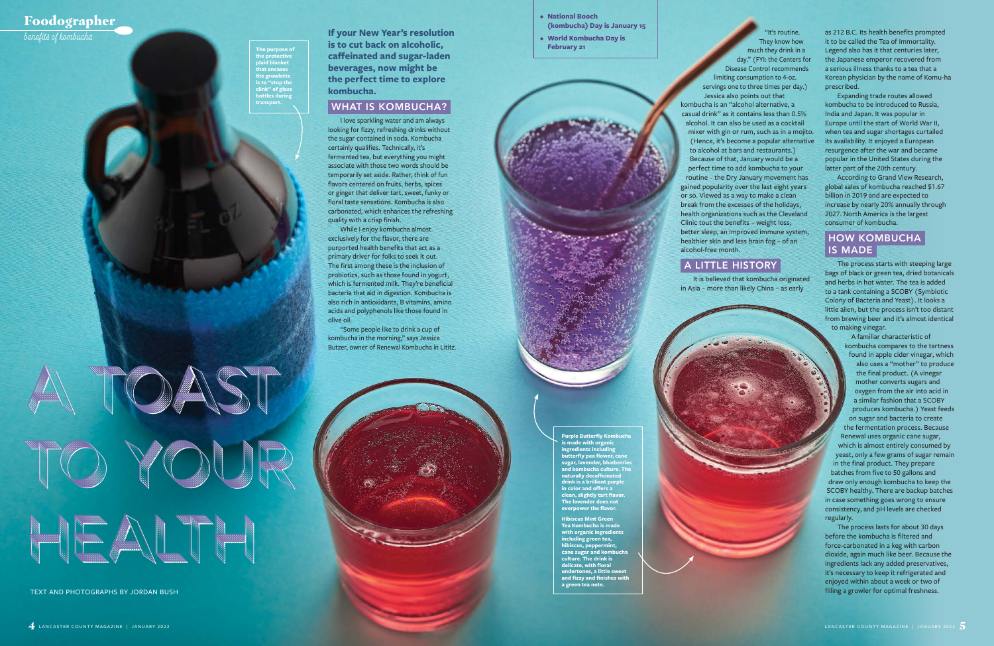**If your New Year's resolution is to cut back on alcoholic, caffeinated and sugar-laden beverages, now might be the perfect time to explore kombucha.** 

## WHAT IS KOMBUCHA?

I love sparkling water and am always looking for fizzy, refreshing drinks without the sugar contained in soda. Kombucha certainly qualifies. Technically, it's fermented tea, but everything you might associate with those two words should be temporarily set aside. Rather, think of fun flavors centered on fruits, herbs, spices or ginger that deliver tart, sweet, funky or floral taste sensations. Kombucha is also carbonated, which enhances the refreshing quality with a crisp finish.

While I enjoy kombucha almost exclusively for the flavor, there are purported health benefits that act as a primary driver for folks to seek it out. The first among these is the inclusion of probiotics, such as those found in yogurt, which is fermented milk. They're beneficial bacteria that aid in digestion. Kombucha is also rich in antioxidants, B vitamins, amino acids and polyphenols like those found in olive oil.

"Some people like to drink a cup of kombucha in the morning," says Jessica Butzer, owner of Renewal Kombucha in Lititz.

as 212 B.C. Its health benefits prompted it to be called the Tea of Immortality. Legend also has it that centuries later, the Japanese emperor recovered from a serious illness thanks to a tea that a Korean physician by the name of Komu-ha prescribed.

Expanding trade routes allowed kombucha to be introduced to Russia, India and Japan. It was popular in Europe until the start of World War II, when tea and sugar shortages curtailed its availability. It enjoyed a European resurgence after the war and became popular in the United States during the latter part of the 20th century.

According to Grand View Research, global sales of kombucha reached \$1.67 billion in 2019 and are expected to increase by nearly 20% annually through 2027. North America is the largest consumer of kombucha.

## HOW KOMBUCHA IS MADE

The process starts with steeping large bags of black or green tea, dried botanicals and herbs in hot water. The tea is added to a tank containing a SCOBY (Symbiotic Colony of Bacteria and Yeast). It looks a little alien, but the process isn't too distant from brewing beer and it's almost identical to making vinegar.

**Purple Butterfly Kombucha is made with organic ingredients including butterfly pea flower, cane sugar, lavender, blueberries and kombucha culture. The naturally decaffeinated drink is a brilliant purple in color and offers a clean, slightly tart flavor. The lavender does not overpower the flavor.** 

A familiar characteristic of kombucha compares to the tartness found in apple cider vinegar, which also uses a "mother" to produce the final product. (A vinegar mother converts sugars and oxygen from the air into acid in a similar fashion that a SCOBY produces kombucha.) Yeast feeds on sugar and bacteria to create the fermentation process. Because Renewal uses organic cane sugar, which is almost entirely consumed by yeast, only a few grams of sugar remain in the final product. They prepare batches from five to 50 gallons and draw only enough kombucha to keep the SCOBY healthy. There are backup batches in case something goes wrong to ensure consistency, and pH levels are checked

regularly.

The process lasts for about 30 days before the kombucha is filtered and force-carbonated in a keg with carbon dioxide, again much like beer. Because the ingredients lack any added preservatives, it's necessary to keep it refrigerated and enjoyed within about a week or two of filling a growler for optimal freshness.

"It's routine. They know how much they drink in a day." (FYI: the Centers for Disease Control recommends limiting consumption to 4-oz. servings one to three times per day.) Jessica also points out that kombucha is an "alcohol alternative, a casual drink" as it contains less than 0.5% alcohol. It can also be used as a cocktail mixer with gin or rum, such as in a mojito. (Hence, it's become a popular alternative to alcohol at bars and restaurants.) Because of that, January would be a perfect time to add kombucha to your routine – the Dry January movement has gained popularity over the last eight years or so. Viewed as a way to make a clean break from the excesses of the holidays, health organizations such as the Cleveland Clinic tout the benefits – weight loss, better sleep, an improved immune system, healthier skin and less brain fog – of an alcohol-free month.

A LITTLE HISTORY

It is believed that kombucha originated in Asia – more than likely China – as early

to Your to Your

HEALTH

TEXT AND PHOTOGRAPHS BY JORDAN BUSH

A TOAST

**Hibiscus Mint Green Tea Kombucha is made with organic ingredients including green tea, hibiscus, peppermint, cane sugar and kombucha culture. The drink is delicate, with floral undertones, a little sweet and fizzy and finishes with a green tea note.**

# **Foodographer**

**the protective plaid blanket that encases the growlette is to "stop the clink" of glass bottles during transport.** 

- **• National Booch (kombucha) Day is January 15**
- **• World Kombucha Day is February 21**